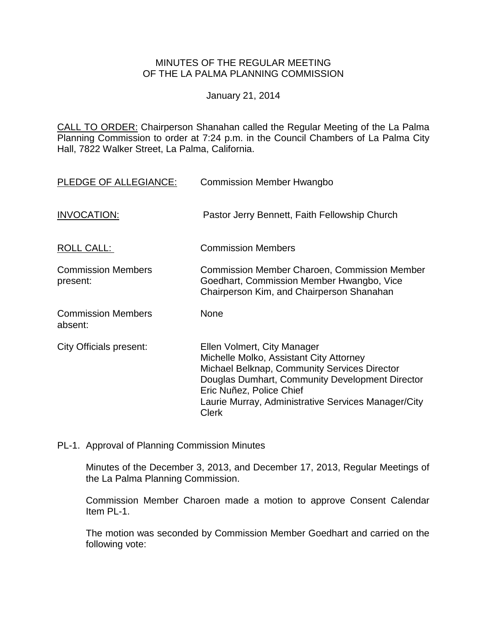## MINUTES OF THE REGULAR MEETING OF THE LA PALMA PLANNING COMMISSION

January 21, 2014

CALL TO ORDER: Chairperson [Shanahan called the Regular Meeting of the La Palma](http://lapalma.granicus.com/MediaPlayerFrameHandler.php?view_id=&clip_id=799&meta_id=104895)  Planning Commission to order at 7:24 [p.m. in the Council Chambers of La Palma City](http://lapalma.granicus.com/MediaPlayerFrameHandler.php?view_id=&clip_id=799&meta_id=104895)  [Hall, 7822 Walker Street, La Palma, California.](http://lapalma.granicus.com/MediaPlayerFrameHandler.php?view_id=&clip_id=799&meta_id=104895)

| PLEDGE OF ALLEGIANCE:                 | <b>Commission Member Hwangbo</b>                                                                                                                                                                                                                                             |
|---------------------------------------|------------------------------------------------------------------------------------------------------------------------------------------------------------------------------------------------------------------------------------------------------------------------------|
| INVOCATION:                           | Pastor Jerry Bennett, Faith Fellowship Church                                                                                                                                                                                                                                |
| <b>ROLL CALL:</b>                     | <b>Commission Members</b>                                                                                                                                                                                                                                                    |
| <b>Commission Members</b><br>present: | <b>Commission Member Charoen, Commission Member</b><br>Goedhart, Commission Member Hwangbo, Vice<br>Chairperson Kim, and Chairperson Shanahan                                                                                                                                |
| <b>Commission Members</b><br>absent:  | <b>None</b>                                                                                                                                                                                                                                                                  |
| City Officials present:               | Ellen Volmert, City Manager<br>Michelle Molko, Assistant City Attorney<br>Michael Belknap, Community Services Director<br>Douglas Dumhart, Community Development Director<br>Eric Nuñez, Police Chief<br>Laurie Murray, Administrative Services Manager/City<br><b>Clerk</b> |

PL-1. Approval of Planning Commission Minutes

Minutes of the December 3, 2013, and December 17, 2013, Regular Meetings of the La Palma Planning Commission.

Commission Member Charoen made a motion to approve Consent Calendar Item PL-1.

The motion was seconded by Commission Member Goedhart and carried on the following vote: